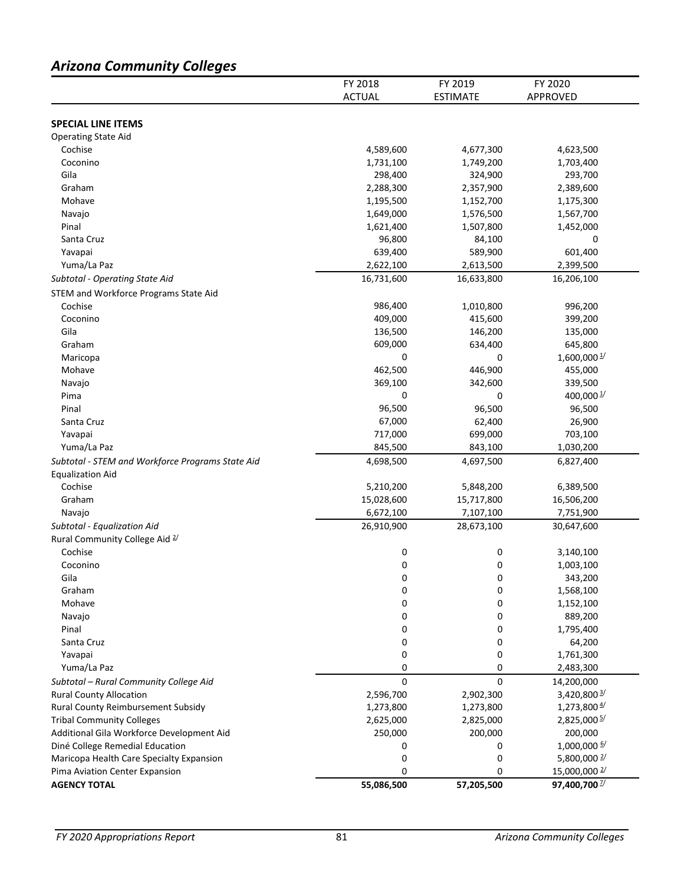# *Arizona Community Colleges*

|                                                  | FY 2018       | FY 2019         | FY 2020                  |
|--------------------------------------------------|---------------|-----------------|--------------------------|
|                                                  | <b>ACTUAL</b> | <b>ESTIMATE</b> | APPROVED                 |
|                                                  |               |                 |                          |
| <b>SPECIAL LINE ITEMS</b>                        |               |                 |                          |
| <b>Operating State Aid</b>                       |               |                 |                          |
| Cochise                                          | 4,589,600     | 4,677,300       | 4,623,500                |
| Coconino                                         | 1,731,100     | 1,749,200       | 1,703,400                |
| Gila                                             | 298,400       | 324,900         | 293,700                  |
| Graham                                           | 2,288,300     | 2,357,900       | 2,389,600                |
| Mohave                                           | 1,195,500     | 1,152,700       | 1,175,300                |
| Navajo                                           | 1,649,000     | 1,576,500       | 1,567,700                |
| Pinal                                            | 1,621,400     | 1,507,800       | 1,452,000                |
| Santa Cruz                                       | 96,800        | 84,100          | 0                        |
| Yavapai                                          | 639,400       | 589,900         | 601,400                  |
| Yuma/La Paz                                      | 2,622,100     | 2,613,500       | 2,399,500                |
| Subtotal - Operating State Aid                   | 16,731,600    | 16,633,800      | 16,206,100               |
| STEM and Workforce Programs State Aid            |               |                 |                          |
| Cochise                                          | 986,400       | 1,010,800       | 996,200                  |
| Coconino                                         | 409,000       | 415,600         | 399,200                  |
| Gila                                             | 136,500       | 146,200         | 135,000                  |
| Graham                                           | 609,000       | 634,400         | 645,800                  |
| Maricopa                                         | 0             | 0               | $1,600,000\frac{1}{2}$   |
| Mohave                                           | 462,500       | 446,900         | 455,000                  |
| Navajo                                           | 369,100       | 342,600         | 339,500                  |
| Pima                                             | 0             | 0               | 400,000 $\frac{1}{2}$    |
| Pinal                                            | 96,500        | 96,500          | 96,500                   |
| Santa Cruz                                       | 67,000        | 62,400          | 26,900                   |
| Yavapai                                          | 717,000       | 699,000         | 703,100                  |
| Yuma/La Paz                                      | 845,500       | 843,100         | 1,030,200                |
|                                                  | 4,698,500     | 4,697,500       |                          |
| Subtotal - STEM and Workforce Programs State Aid |               |                 | 6,827,400                |
| <b>Equalization Aid</b><br>Cochise               |               |                 |                          |
|                                                  | 5,210,200     | 5,848,200       | 6,389,500                |
| Graham                                           | 15,028,600    | 15,717,800      | 16,506,200               |
| Navajo                                           | 6,672,100     | 7,107,100       | 7,751,900                |
| Subtotal - Equalization Aid                      | 26,910,900    | 28,673,100      | 30,647,600               |
| Rural Community College Aid 2/                   |               |                 |                          |
| Cochise                                          | 0             | 0               | 3,140,100                |
| Coconino                                         | 0             | 0               | 1,003,100                |
| Gila                                             | 0             | 0               | 343,200                  |
| Graham                                           | 0             | 0               | 1,568,100                |
| Mohave                                           | 0             | 0               | 1,152,100                |
| Navajo                                           | 0             | 0               | 889,200                  |
| Pinal                                            | 0             | 0               | 1,795,400                |
| Santa Cruz                                       | 0             | 0               | 64,200                   |
| Yavapai                                          | 0             | 0               | 1,761,300                |
| Yuma/La Paz                                      | 0             | 0               | 2,483,300                |
| Subtotal - Rural Community College Aid           | 0             | 0               | 14,200,000               |
| <b>Rural County Allocation</b>                   | 2,596,700     | 2,902,300       | 3,420,800 3/             |
| Rural County Reimbursement Subsidy               | 1,273,800     | 1,273,800       | $1,273,800\frac{4}{1}$   |
| <b>Tribal Community Colleges</b>                 | 2,625,000     | 2,825,000       | 2,825,000 5/             |
| Additional Gila Workforce Development Aid        | 250,000       | 200,000         | 200,000                  |
| Diné College Remedial Education                  | 0             | 0               | 1,000,000 6/             |
| Maricopa Health Care Specialty Expansion         | 0             | 0               | 5,800,000 $\frac{2}{3}$  |
| Pima Aviation Center Expansion                   | 0             | 0               | 15,000,000 $\frac{2}{3}$ |
| <b>AGENCY TOTAL</b>                              | 55,086,500    | 57,205,500      | 97,400,700 <sup>2/</sup> |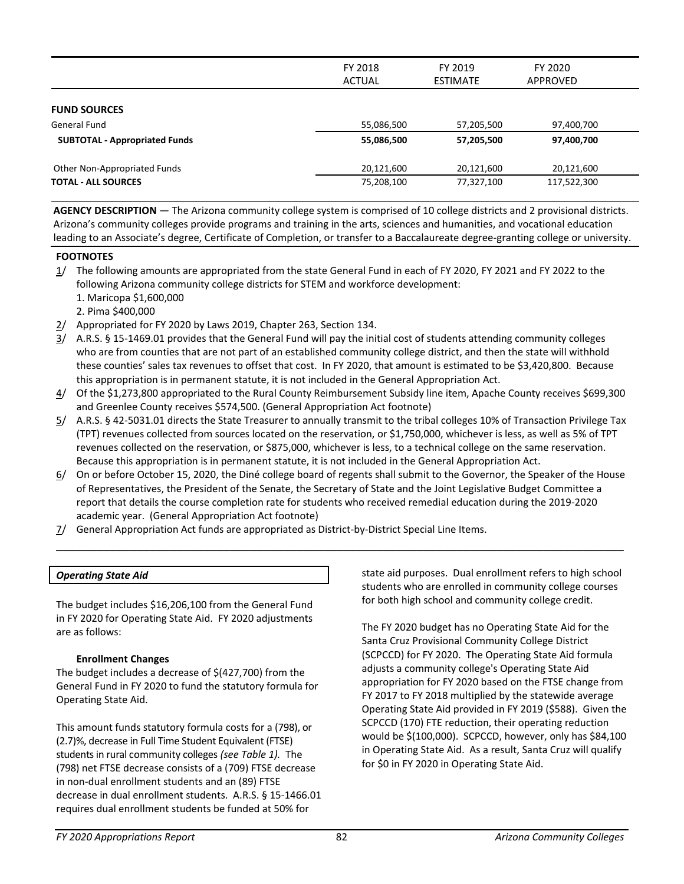|                                      | FY 2018<br>ACTUAL | FY 2019<br><b>ESTIMATE</b> | FY 2020<br>APPROVED |
|--------------------------------------|-------------------|----------------------------|---------------------|
| <b>FUND SOURCES</b>                  |                   |                            |                     |
| General Fund                         | 55,086,500        | 57,205,500                 | 97,400,700          |
| <b>SUBTOTAL - Appropriated Funds</b> | 55,086,500        | 57,205,500                 | 97,400,700          |
| Other Non-Appropriated Funds         | 20,121,600        | 20,121,600                 | 20,121,600          |
| <b>TOTAL - ALL SOURCES</b>           | 75,208,100        | 77,327,100                 | 117,522,300         |

**AGENCY DESCRIPTION** — The Arizona community college system is comprised of 10 college districts and 2 provisional districts. Arizona's community colleges provide programs and training in the arts, sciences and humanities, and vocational education leading to an Associate's degree, Certificate of Completion, or transfer to a Baccalaureate degree-granting college or university.

## **FOOTNOTES**

- 1/ The following amounts are appropriated from the state General Fund in each of FY 2020, FY 2021 and FY 2022 to the following Arizona community college districts for STEM and workforce development:
	- 1. Maricopa \$1,600,000
	- 2. Pima \$400,000
- 2/ Appropriated for FY 2020 by Laws 2019, Chapter 263, Section 134.
- 3/ A.R.S. § 15-1469.01 provides that the General Fund will pay the initial cost of students attending community colleges who are from counties that are not part of an established community college district, and then the state will withhold these counties' sales tax revenues to offset that cost. In FY 2020, that amount is estimated to be \$3,420,800. Because this appropriation is in permanent statute, it is not included in the General Appropriation Act.
- 4/ Of the \$1,273,800 appropriated to the Rural County Reimbursement Subsidy line item, Apache County receives \$699,300 and Greenlee County receives \$574,500. (General Appropriation Act footnote)
- 5/ A.R.S. § 42-5031.01 directs the State Treasurer to annually transmit to the tribal colleges 10% of Transaction Privilege Tax (TPT) revenues collected from sources located on the reservation, or \$1,750,000, whichever is less, as well as 5% of TPT revenues collected on the reservation, or \$875,000, whichever is less, to a technical college on the same reservation. Because this appropriation is in permanent statute, it is not included in the General Appropriation Act.
- 6/ On or before October 15, 2020, the Diné college board of regents shall submit to the Governor, the Speaker of the House of Representatives, the President of the Senate, the Secretary of State and the Joint Legislative Budget Committee a report that details the course completion rate for students who received remedial education during the 2019-2020 academic year. (General Appropriation Act footnote)

 $\mathcal{L} = \{ \mathcal{L} = \{ \mathcal{L} = \mathcal{L} \} \cup \{ \mathcal{L} = \{ \mathcal{L} = \mathcal{L} \} \cup \{ \mathcal{L} = \{ \mathcal{L} = \mathcal{L} \} \cup \{ \mathcal{L} = \{ \mathcal{L} = \mathcal{L} \} \cup \{ \mathcal{L} = \{ \mathcal{L} = \mathcal{L} \} \cup \{ \mathcal{L} = \{ \mathcal{L} = \mathcal{L} \} \cup \{ \mathcal{L} = \{ \mathcal{L} = \mathcal{L} \} \cup \{ \mathcal{L} = \{ \mathcal{L}$ 

7/ General Appropriation Act funds are appropriated as District-by-District Special Line Items.

## *Operating State Aid*

The budget includes \$16,206,100 from the General Fund in FY 2020 for Operating State Aid. FY 2020 adjustments are as follows:

#### **Enrollment Changes**

The budget includes a decrease of \$(427,700) from the General Fund in FY 2020 to fund the statutory formula for Operating State Aid.

This amount funds statutory formula costs for a (798), or (2.7)%, decrease in Full Time Student Equivalent (FTSE) students in rural community colleges *(see Table 1).* The (798) net FTSE decrease consists of a (709) FTSE decrease in non-dual enrollment students and an (89) FTSE decrease in dual enrollment students. A.R.S. § 15-1466.01 requires dual enrollment students be funded at 50% for

state aid purposes. Dual enrollment refers to high school students who are enrolled in community college courses for both high school and community college credit.

The FY 2020 budget has no Operating State Aid for the Santa Cruz Provisional Community College District (SCPCCD) for FY 2020. The Operating State Aid formula adjusts a community college's Operating State Aid appropriation for FY 2020 based on the FTSE change from FY 2017 to FY 2018 multiplied by the statewide average Operating State Aid provided in FY 2019 (\$588). Given the SCPCCD (170) FTE reduction, their operating reduction would be \$(100,000). SCPCCD, however, only has \$84,100 in Operating State Aid. As a result, Santa Cruz will qualify for \$0 in FY 2020 in Operating State Aid.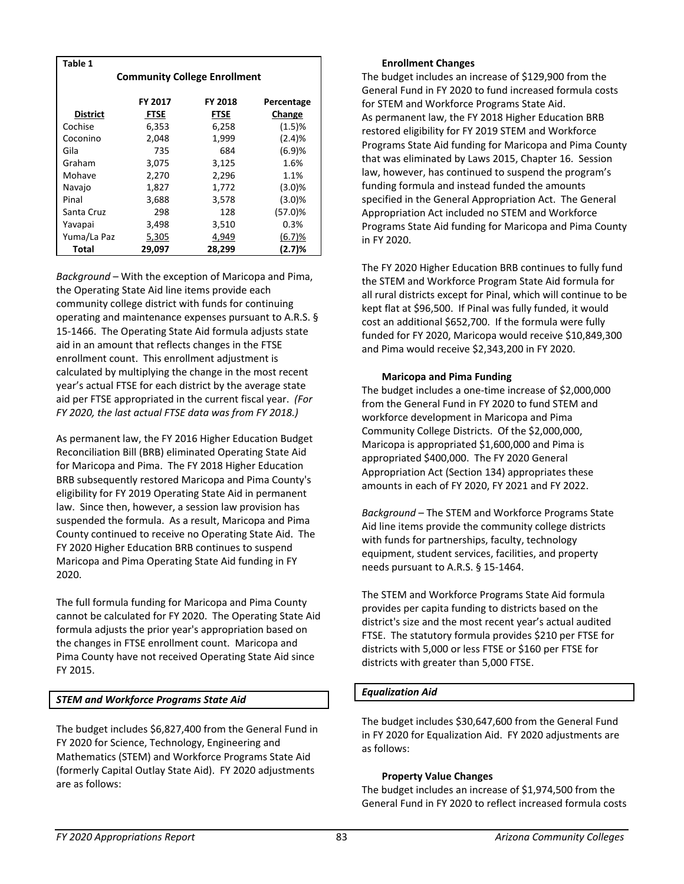| Table 1         |                                  |                                     |           |  |  |  |
|-----------------|----------------------------------|-------------------------------------|-----------|--|--|--|
|                 |                                  | <b>Community College Enrollment</b> |           |  |  |  |
|                 |                                  |                                     |           |  |  |  |
|                 | FY 2017<br>FY 2018<br>Percentage |                                     |           |  |  |  |
| <b>District</b> | <b>FTSE</b>                      | FTSE                                | Change    |  |  |  |
| Cochise         | 6,353                            | 6,258                               | (1.5)%    |  |  |  |
| Coconino        | 2,048                            | 1,999                               | (2.4)%    |  |  |  |
| Gila            | 735                              | 684                                 | (6.9)%    |  |  |  |
| Graham          | 3,075                            | 3,125                               | 1.6%      |  |  |  |
| Mohave          | 2,270                            | 2,296                               | 1.1%      |  |  |  |
| Navajo          | 1,827                            | 1,772                               | $(3.0)\%$ |  |  |  |
| Pinal           | 3,688                            | 3,578                               | $(3.0)\%$ |  |  |  |
| Santa Cruz      | 298                              | 128                                 | (57.0)%   |  |  |  |
| Yavapai         | 3,498                            | 3,510                               | 0.3%      |  |  |  |
| Yuma/La Paz     | 5,305                            | 4,949                               | (6.7)%    |  |  |  |
| Total           | 29,097                           | 28,299                              | (2.7)%    |  |  |  |

*Background* – With the exception of Maricopa and Pima, the Operating State Aid line items provide each community college district with funds for continuing operating and maintenance expenses pursuant to A.R.S. § 15-1466. The Operating State Aid formula adjusts state aid in an amount that reflects changes in the FTSE enrollment count. This enrollment adjustment is calculated by multiplying the change in the most recent year's actual FTSE for each district by the average state aid per FTSE appropriated in the current fiscal year. *(For FY 2020, the last actual FTSE data was from FY 2018.)*

As permanent law, the FY 2016 Higher Education Budget Reconciliation Bill (BRB) eliminated Operating State Aid for Maricopa and Pima. The FY 2018 Higher Education BRB subsequently restored Maricopa and Pima County's eligibility for FY 2019 Operating State Aid in permanent law. Since then, however, a session law provision has suspended the formula. As a result, Maricopa and Pima County continued to receive no Operating State Aid. The FY 2020 Higher Education BRB continues to suspend Maricopa and Pima Operating State Aid funding in FY 2020.

The full formula funding for Maricopa and Pima County cannot be calculated for FY 2020. The Operating State Aid formula adjusts the prior year's appropriation based on the changes in FTSE enrollment count. Maricopa and Pima County have not received Operating State Aid since FY 2015.

## *STEM and Workforce Programs State Aid*

The budget includes \$6,827,400 from the General Fund in FY 2020 for Science, Technology, Engineering and Mathematics (STEM) and Workforce Programs State Aid (formerly Capital Outlay State Aid). FY 2020 adjustments are as follows:

## **Enrollment Changes**

The budget includes an increase of \$129,900 from the General Fund in FY 2020 to fund increased formula costs for STEM and Workforce Programs State Aid. As permanent law, the FY 2018 Higher Education BRB restored eligibility for FY 2019 STEM and Workforce Programs State Aid funding for Maricopa and Pima County that was eliminated by Laws 2015, Chapter 16. Session law, however, has continued to suspend the program's funding formula and instead funded the amounts specified in the General Appropriation Act. The General Appropriation Act included no STEM and Workforce Programs State Aid funding for Maricopa and Pima County in FY 2020.

The FY 2020 Higher Education BRB continues to fully fund the STEM and Workforce Program State Aid formula for all rural districts except for Pinal, which will continue to be kept flat at \$96,500. If Pinal was fully funded, it would cost an additional \$652,700. If the formula were fully funded for FY 2020, Maricopa would receive \$10,849,300 and Pima would receive \$2,343,200 in FY 2020.

#### **Maricopa and Pima Funding**

The budget includes a one-time increase of \$2,000,000 from the General Fund in FY 2020 to fund STEM and workforce development in Maricopa and Pima Community College Districts. Of the \$2,000,000, Maricopa is appropriated \$1,600,000 and Pima is appropriated \$400,000. The FY 2020 General Appropriation Act (Section 134) appropriates these amounts in each of FY 2020, FY 2021 and FY 2022.

*Background* – The STEM and Workforce Programs State Aid line items provide the community college districts with funds for partnerships, faculty, technology equipment, student services, facilities, and property needs pursuant to A.R.S. § 15-1464.

The STEM and Workforce Programs State Aid formula provides per capita funding to districts based on the district's size and the most recent year's actual audited FTSE. The statutory formula provides \$210 per FTSE for districts with 5,000 or less FTSE or \$160 per FTSE for districts with greater than 5,000 FTSE.

## *Equalization Aid*

The budget includes \$30,647,600 from the General Fund in FY 2020 for Equalization Aid. FY 2020 adjustments are as follows:

#### **Property Value Changes**

The budget includes an increase of \$1,974,500 from the General Fund in FY 2020 to reflect increased formula costs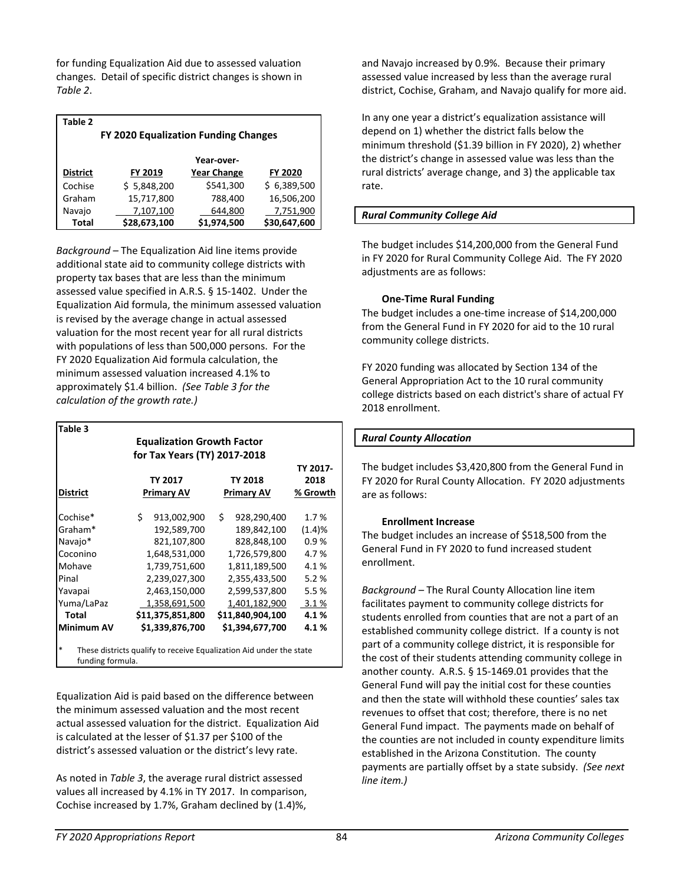for funding Equalization Aid due to assessed valuation changes. Detail of specific district changes is shown in *Table 2*.

| Table 2                              |              |                    |              |  |  |
|--------------------------------------|--------------|--------------------|--------------|--|--|
| FY 2020 Equalization Funding Changes |              |                    |              |  |  |
|                                      |              |                    |              |  |  |
|                                      |              | Year-over-         |              |  |  |
| <b>District</b>                      | FY 2019      | <b>Year Change</b> | FY 2020      |  |  |
| Cochise                              | \$5,848,200  | \$541,300          | \$6,389,500  |  |  |
| Graham                               | 15,717,800   | 788,400            | 16,506,200   |  |  |
| Navajo                               | 7,107,100    | 644,800            | 7,751,900    |  |  |
| Total                                | \$28,673,100 | \$1,974,500        | \$30,647,600 |  |  |

*Background* – The Equalization Aid line items provide additional state aid to community college districts with property tax bases that are less than the minimum assessed value specified in A.R.S. § 15-1402. Under the Equalization Aid formula, the minimum assessed valuation is revised by the average change in actual assessed valuation for the most recent year for all rural districts with populations of less than 500,000 persons. For the FY 2020 Equalization Aid formula calculation, the minimum assessed valuation increased 4.1% to approximately \$1.4 billion. *(See Table 3 for the calculation of the growth rate.)* 

| Table 3         |                                   |                    |          |
|-----------------|-----------------------------------|--------------------|----------|
|                 | <b>Equalization Growth Factor</b> |                    |          |
|                 | for Tax Years (TY) 2017-2018      |                    |          |
|                 |                                   |                    | TY 2017- |
|                 | <b>TY 2017</b>                    | <b>TY 2018</b>     | 2018     |
| <b>District</b> | <b>Primary AV</b>                 | Primary AV         | % Growth |
| Cochise*        | Ś.<br>913,002,900                 | \$.<br>928,290,400 | 1.7%     |
| Graham*         | 192,589,700                       | 189,842,100        | (1.4)%   |
| Navajo*         | 821,107,800                       | 828,848,100        | 0.9%     |
| Coconino        | 1,648,531,000                     | 1,726,579,800      | 4.7%     |
| Mohave          | 1,739,751,600                     | 1,811,189,500      | 4.1%     |
| Pinal           | 2,239,027,300                     | 2,355,433,500      | 5.2%     |
| Yavapai         | 2,463,150,000                     | 2,599,537,800      | 5.5%     |
| Yuma/LaPaz      | 1,358,691,500                     | 1,401,182,900      | 3.1%     |
| <b>Total</b>    | \$11,375,851,800                  | \$11,840,904,100   | 4.1%     |
| Minimum AV      | \$1,339,876,700                   | \$1,394,677,700    | 4.1%     |

funding formula.

Equalization Aid is paid based on the difference between the minimum assessed valuation and the most recent actual assessed valuation for the district. Equalization Aid is calculated at the lesser of \$1.37 per \$100 of the district's assessed valuation or the district's levy rate.

As noted in *Table 3*, the average rural district assessed values all increased by 4.1% in TY 2017. In comparison, Cochise increased by 1.7%, Graham declined by (1.4)%,

and Navajo increased by 0.9%. Because their primary assessed value increased by less than the average rural district, Cochise, Graham, and Navajo qualify for more aid.

In any one year a district's equalization assistance will depend on 1) whether the district falls below the minimum threshold (\$1.39 billion in FY 2020), 2) whether the district's change in assessed value was less than the rural districts' average change, and 3) the applicable tax rate.

## *Rural Community College Aid*

The budget includes \$14,200,000 from the General Fund in FY 2020 for Rural Community College Aid. The FY 2020 adjustments are as follows:

## **One-Time Rural Funding**

The budget includes a one-time increase of \$14,200,000 from the General Fund in FY 2020 for aid to the 10 rural community college districts.

FY 2020 funding was allocated by Section 134 of the General Appropriation Act to the 10 rural community college districts based on each district's share of actual FY 2018 enrollment.

## *Rural County Allocation*

The budget includes \$3,420,800 from the General Fund in FY 2020 for Rural County Allocation. FY 2020 adjustments are as follows:

#### **Enrollment Increase**

The budget includes an increase of \$518,500 from the General Fund in FY 2020 to fund increased student enrollment.

*Background* – The Rural County Allocation line item facilitates payment to community college districts for students enrolled from counties that are not a part of an established community college district. If a county is not part of a community college district, it is responsible for the cost of their students attending community college in another county. A.R.S. § 15-1469.01 provides that the General Fund will pay the initial cost for these counties and then the state will withhold these counties' sales tax revenues to offset that cost; therefore, there is no net General Fund impact. The payments made on behalf of the counties are not included in county expenditure limits established in the Arizona Constitution. The county payments are partially offset by a state subsidy. *(See next line item.)*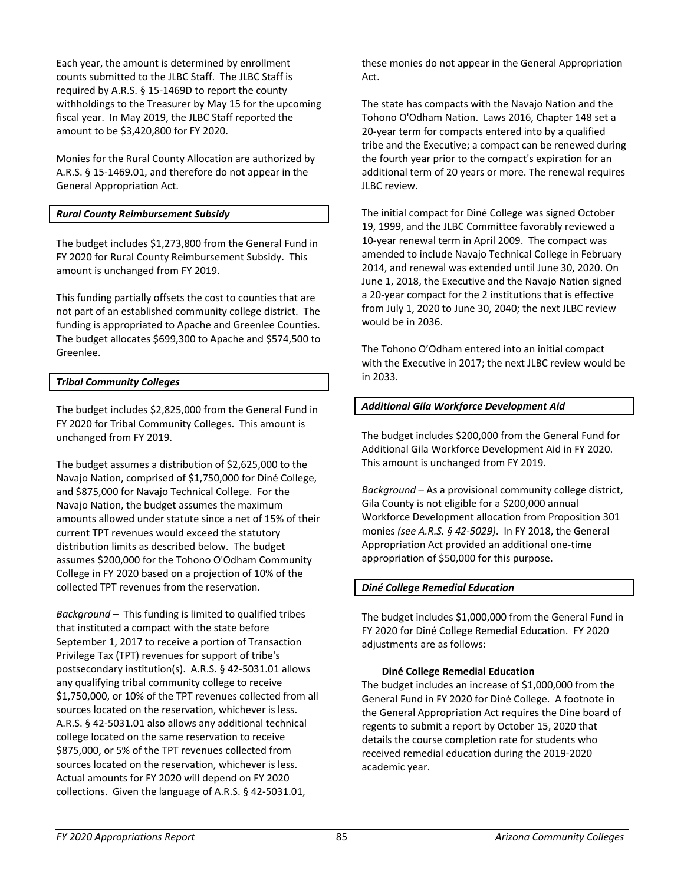Each year, the amount is determined by enrollment counts submitted to the JLBC Staff. The JLBC Staff is required by A.R.S. § 15-1469D to report the county withholdings to the Treasurer by May 15 for the upcoming fiscal year. In May 2019, the JLBC Staff reported the amount to be \$3,420,800 for FY 2020.

Monies for the Rural County Allocation are authorized by A.R.S. § 15-1469.01, and therefore do not appear in the General Appropriation Act.

## *Rural County Reimbursement Subsidy*

The budget includes \$1,273,800 from the General Fund in FY 2020 for Rural County Reimbursement Subsidy. This amount is unchanged from FY 2019.

This funding partially offsets the cost to counties that are not part of an established community college district. The funding is appropriated to Apache and Greenlee Counties. The budget allocates \$699,300 to Apache and \$574,500 to Greenlee.

## *Tribal Community Colleges*

The budget includes \$2,825,000 from the General Fund in FY 2020 for Tribal Community Colleges. This amount is unchanged from FY 2019.

The budget assumes a distribution of \$2,625,000 to the Navajo Nation, comprised of \$1,750,000 for Diné College, and \$875,000 for Navajo Technical College. For the Navajo Nation, the budget assumes the maximum amounts allowed under statute since a net of 15% of their current TPT revenues would exceed the statutory distribution limits as described below. The budget assumes \$200,000 for the Tohono O'Odham Community College in FY 2020 based on a projection of 10% of the collected TPT revenues from the reservation.

*Background* – This funding is limited to qualified tribes that instituted a compact with the state before September 1, 2017 to receive a portion of Transaction Privilege Tax (TPT) revenues for support of tribe's postsecondary institution(s). A.R.S. § 42-5031.01 allows any qualifying tribal community college to receive \$1,750,000, or 10% of the TPT revenues collected from all sources located on the reservation, whichever is less. A.R.S. § 42-5031.01 also allows any additional technical college located on the same reservation to receive \$875,000, or 5% of the TPT revenues collected from sources located on the reservation, whichever is less. Actual amounts for FY 2020 will depend on FY 2020 collections. Given the language of A.R.S. § 42-5031.01,

these monies do not appear in the General Appropriation Act.

The state has compacts with the Navajo Nation and the Tohono O'Odham Nation. Laws 2016, Chapter 148 set a 20-year term for compacts entered into by a qualified tribe and the Executive; a compact can be renewed during the fourth year prior to the compact's expiration for an additional term of 20 years or more. The renewal requires JLBC review.

The initial compact for Diné College was signed October 19, 1999, and the JLBC Committee favorably reviewed a 10-year renewal term in April 2009. The compact was amended to include Navajo Technical College in February 2014, and renewal was extended until June 30, 2020. On June 1, 2018, the Executive and the Navajo Nation signed a 20-year compact for the 2 institutions that is effective from July 1, 2020 to June 30, 2040; the next JLBC review would be in 2036.

The Tohono O'Odham entered into an initial compact with the Executive in 2017; the next JLBC review would be in 2033.

## *Additional Gila Workforce Development Aid*

The budget includes \$200,000 from the General Fund for Additional Gila Workforce Development Aid in FY 2020. This amount is unchanged from FY 2019.

*Background* – As a provisional community college district, Gila County is not eligible for a \$200,000 annual Workforce Development allocation from Proposition 301 monies *(see A.R.S. § 42-5029)*. In FY 2018, the General Appropriation Act provided an additional one-time appropriation of \$50,000 for this purpose.

#### *Diné College Remedial Education*

The budget includes \$1,000,000 from the General Fund in FY 2020 for Diné College Remedial Education. FY 2020 adjustments are as follows:

#### **Diné College Remedial Education**

The budget includes an increase of \$1,000,000 from the General Fund in FY 2020 for Diné College. A footnote in the General Appropriation Act requires the Dine board of regents to submit a report by October 15, 2020 that details the course completion rate for students who received remedial education during the 2019-2020 academic year.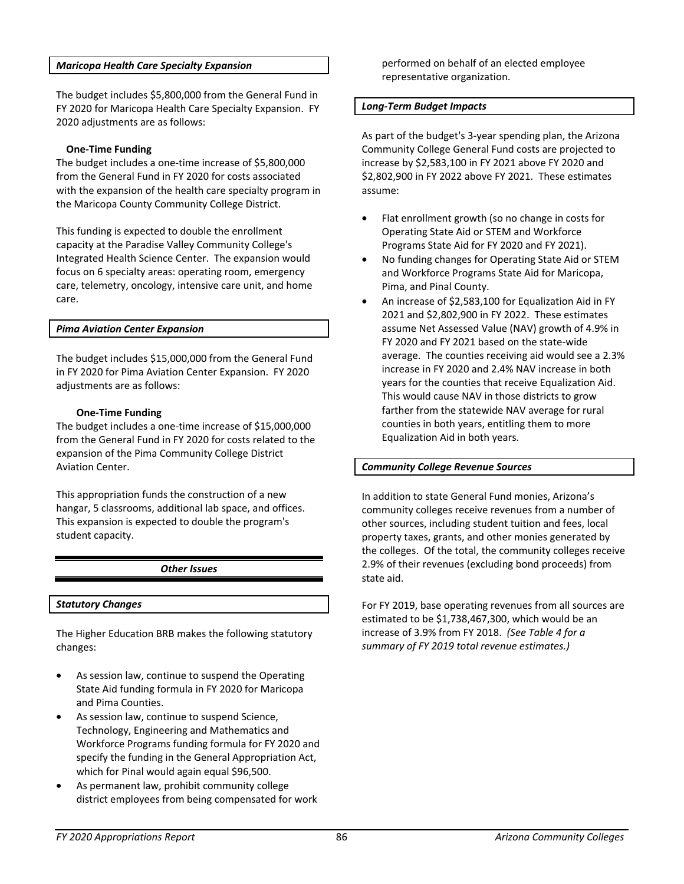#### *Maricopa Health Care Specialty Expansion*

The budget includes \$5,800,000 from the General Fund in FY 2020 for Maricopa Health Care Specialty Expansion. FY 2020 adjustments are as follows:

#### **One-Time Funding**

The budget includes a one-time increase of \$5,800,000 from the General Fund in FY 2020 for costs associated with the expansion of the health care specialty program in the Maricopa County Community College District.

This funding is expected to double the enrollment capacity at the Paradise Valley Community College's Integrated Health Science Center. The expansion would focus on 6 specialty areas: operating room, emergency care, telemetry, oncology, intensive care unit, and home care.

#### *Pima Aviation Center Expansion*

The budget includes \$15,000,000 from the General Fund in FY 2020 for Pima Aviation Center Expansion. FY 2020 adjustments are as follows:

#### **One-Time Funding**

The budget includes a one-time increase of \$15,000,000 from the General Fund in FY 2020 for costs related to the expansion of the Pima Community College District Aviation Center.

This appropriation funds the construction of a new hangar, 5 classrooms, additional lab space, and offices. This expansion is expected to double the program's student capacity.

#### *Other Issues*

#### *Statutory Changes*

The Higher Education BRB makes the following statutory changes:

- As session law, continue to suspend the Operating State Aid funding formula in FY 2020 for Maricopa and Pima Counties.
- As session law, continue to suspend Science, Technology, Engineering and Mathematics and Workforce Programs funding formula for FY 2020 and specify the funding in the General Appropriation Act, which for Pinal would again equal \$96,500.
- As permanent law, prohibit community college district employees from being compensated for work

performed on behalf of an elected employee representative organization.

#### *Long-Term Budget Impacts*

As part of the budget's 3-year spending plan, the Arizona Community College General Fund costs are projected to increase by \$2,583,100 in FY 2021 above FY 2020 and \$2,802,900 in FY 2022 above FY 2021. These estimates assume:

- Flat enrollment growth (so no change in costs for Operating State Aid or STEM and Workforce Programs State Aid for FY 2020 and FY 2021).
- No funding changes for Operating State Aid or STEM and Workforce Programs State Aid for Maricopa, Pima, and Pinal County.
- An increase of \$2,583,100 for Equalization Aid in FY 2021 and \$2,802,900 in FY 2022. These estimates assume Net Assessed Value (NAV) growth of 4.9% in FY 2020 and FY 2021 based on the state-wide average. The counties receiving aid would see a 2.3% increase in FY 2020 and 2.4% NAV increase in both years for the counties that receive Equalization Aid. This would cause NAV in those districts to grow farther from the statewide NAV average for rural counties in both years, entitling them to more Equalization Aid in both years.

#### *Community College Revenue Sources*

In addition to state General Fund monies, Arizona's community colleges receive revenues from a number of other sources, including student tuition and fees, local property taxes, grants, and other monies generated by the colleges. Of the total, the community colleges receive 2.9% of their revenues (excluding bond proceeds) from state aid.

For FY 2019, base operating revenues from all sources are estimated to be \$1,738,467,300, which would be an increase of 3.9% from FY 2018. *(See Table 4 for a summary of FY 2019 total revenue estimates.)*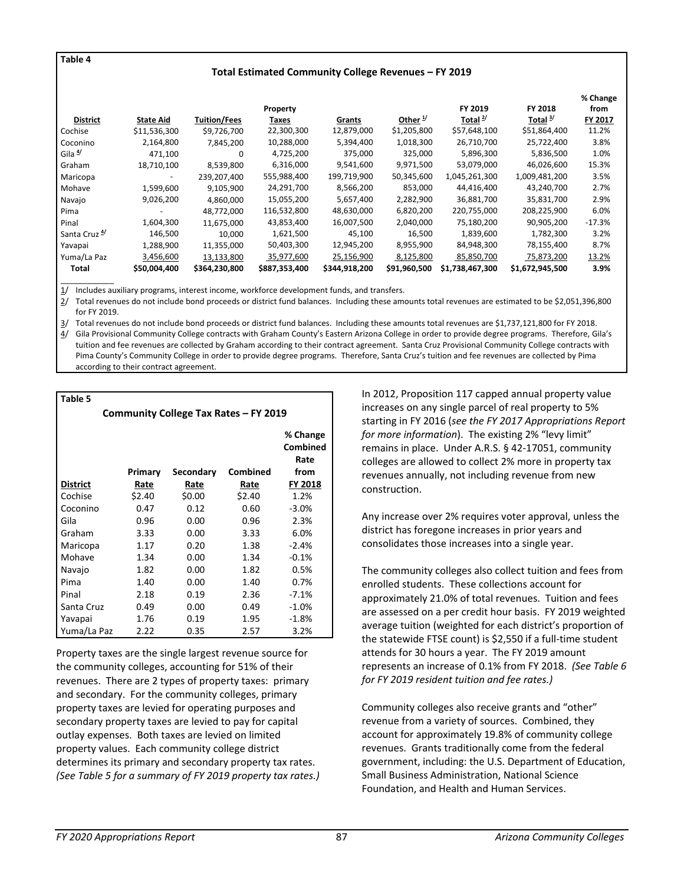**Table 4**

#### **Total Estimated Community College Revenues – FY 2019**

|                          |                  |                     |               |               |                     |                 |                 | % Change |
|--------------------------|------------------|---------------------|---------------|---------------|---------------------|-----------------|-----------------|----------|
|                          |                  |                     | Property      |               |                     | FY 2019         | FY 2018         | from     |
| <b>District</b>          | <b>State Aid</b> | <b>Tuition/Fees</b> | Taxes         | Grants        | Other $\frac{1}{2}$ | Total $^{2/}$   | Total $3/$      | FY 2017  |
| Cochise                  | \$11,536,300     | \$9,726,700         | 22,300,300    | 12,879,000    | \$1,205,800         | \$57,648,100    | \$51,864,400    | 11.2%    |
| Coconino                 | 2,164,800        | 7,845,200           | 10,288,000    | 5,394,400     | 1,018,300           | 26,710,700      | 25,722,400      | 3.8%     |
| Gila <sup>4</sup>        | 471,100          | 0                   | 4,725,200     | 375,000       | 325,000             | 5,896,300       | 5,836,500       | 1.0%     |
| Graham                   | 18,710,100       | 8,539,800           | 6,316,000     | 9,541,600     | 9,971,500           | 53,079,000      | 46,026,600      | 15.3%    |
| Maricopa                 |                  | 239,207,400         | 555,988,400   | 199,719,900   | 50,345,600          | 1,045,261,300   | 1,009,481,200   | 3.5%     |
| Mohave                   | 1,599,600        | 9,105,900           | 24,291,700    | 8,566,200     | 853,000             | 44,416,400      | 43,240,700      | 2.7%     |
| Navajo                   | 9,026,200        | 4.860.000           | 15,055,200    | 5,657,400     | 2,282,900           | 36,881,700      | 35,831,700      | 2.9%     |
| Pima                     |                  | 48.772.000          | 116,532,800   | 48,630,000    | 6,820,200           | 220,755,000     | 208,225,900     | 6.0%     |
| Pinal                    | 1,604,300        | 11,675,000          | 43,853,400    | 16,007,500    | 2,040,000           | 75,180,200      | 90,905,200      | $-17.3%$ |
| Santa Cruz <sup>4/</sup> | 146,500          | 10.000              | 1,621,500     | 45,100        | 16,500              | 1,839,600       | 1,782,300       | 3.2%     |
| Yavapai                  | 1,288,900        | 11,355,000          | 50,403,300    | 12,945,200    | 8,955,900           | 84,948,300      | 78,155,400      | 8.7%     |
| Yuma/La Paz              | 3,456,600        | 13,133,800          | 35,977,600    | 25,156,900    | 8,125,800           | 85,850,700      | 75,873,200      | 13.2%    |
| Total                    | \$50,004,400     | \$364,230,800       | \$887,353,400 | \$344,918,200 | \$91,960,500        | \$1,738,467,300 | \$1,672,945,500 | 3.9%     |

\_\_\_\_\_\_\_\_\_\_\_\_ Includes auxiliary programs, interest income, workforce development funds, and transfers.

2/ Total revenues do not include bond proceeds or district fund balances. Including these amounts total revenues are estimated to be \$2,051,396,800 for FY 2019.

3/ Total revenues do not include bond proceeds or district fund balances. Including these amounts total revenues are \$1,737,121,800 for FY 2018. 4/ Gila Provisional Community College contracts with Graham County's Eastern Arizona College in order to provide degree programs. Therefore, Gila's tuition and fee revenues are collected by Graham according to their contract agreement. Santa Cruz Provisional Community College contracts with Pima County's Community College in order to provide degree programs. Therefore, Santa Cruz's tuition and fee revenues are collected by Pima according to their contract agreement.

**Table 5**

| Community College Tax Rates - FY 2019 |         |           |          |                                      |  |
|---------------------------------------|---------|-----------|----------|--------------------------------------|--|
|                                       | Primary | Secondary | Combined | % Change<br>Combined<br>Rate<br>from |  |
| <b>District</b>                       | Rate    | Rate      | Rate     | FY 2018                              |  |
| Cochise                               | \$2.40  | \$0.00    | \$2.40   | 1.2%                                 |  |
| Coconino                              | 0.47    | 0.12      | 0.60     | $-3.0%$                              |  |
| Gila                                  | 0.96    | 0.00      | 0.96     | 2.3%                                 |  |
| Graham                                | 3.33    | 0.00      | 3.33     | 6.0%                                 |  |
| Maricopa                              | 1.17    | 0.20      | 1.38     | $-2.4%$                              |  |
| Mohave                                | 1.34    | 0.00      | 1.34     | $-0.1%$                              |  |
| Navajo                                | 1.82    | 0.00      | 1.82     | 0.5%                                 |  |
| Pima                                  | 1.40    | 0.00      | 1.40     | 0.7%                                 |  |
| Pinal                                 | 2.18    | 0.19      | 2.36     | $-7.1%$                              |  |
| Santa Cruz                            | 0.49    | 0.00      | 0.49     | $-1.0%$                              |  |
| Yavapai                               | 1.76    | 0.19      | 1.95     | $-1.8%$                              |  |
| Yuma/La Paz                           | 2.22    | 0.35      | 2.57     | 3.2%                                 |  |

Property taxes are the single largest revenue source for the community colleges, accounting for 51% of their revenues. There are 2 types of property taxes: primary and secondary. For the community colleges, primary property taxes are levied for operating purposes and secondary property taxes are levied to pay for capital outlay expenses. Both taxes are levied on limited property values. Each community college district determines its primary and secondary property tax rates. *(See Table 5 for a summary of FY 2019 property tax rates.)* 

In 2012, Proposition 117 capped annual property value increases on any single parcel of real property to 5% starting in FY 2016 (*see the FY 2017 Appropriations Report for more information*). The existing 2% "levy limit" remains in place. Under A.R.S. § 42-17051, community colleges are allowed to collect 2% more in property tax revenues annually, not including revenue from new construction.

Any increase over 2% requires voter approval, unless the district has foregone increases in prior years and consolidates those increases into a single year.

The community colleges also collect tuition and fees from enrolled students. These collections account for approximately 21.0% of total revenues. Tuition and fees are assessed on a per credit hour basis. FY 2019 weighted average tuition (weighted for each district's proportion of the statewide FTSE count) is \$2,550 if a full-time student attends for 30 hours a year. The FY 2019 amount represents an increase of 0.1% from FY 2018. *(See Table 6 for FY 2019 resident tuition and fee rates.)* 

Community colleges also receive grants and "other" revenue from a variety of sources. Combined, they account for approximately 19.8% of community college revenues. Grants traditionally come from the federal government, including: the U.S. Department of Education, Small Business Administration, National Science Foundation, and Health and Human Services.